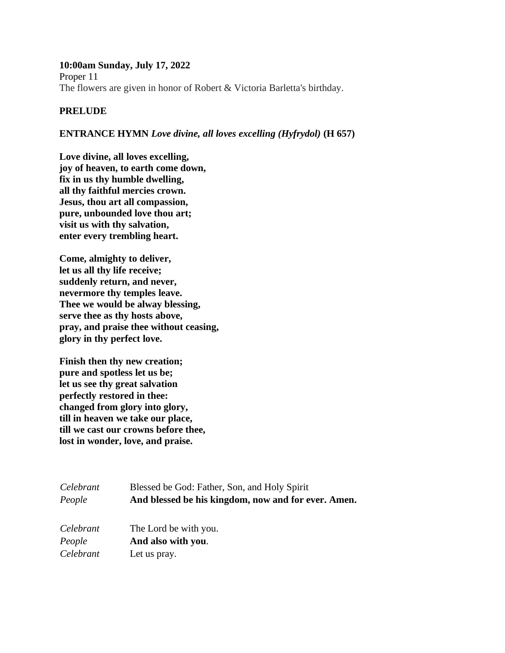**10:00am Sunday, July 17, 2022** Proper 11 The flowers are given in honor of Robert & Victoria Barletta's birthday.

### **PRELUDE**

#### **ENTRANCE HYMN** *Love divine, all loves excelling (Hyfrydol)* **(H 657)**

**Love divine, all loves excelling, joy of heaven, to earth come down, fix in us thy humble dwelling, all thy faithful mercies crown. Jesus, thou art all compassion, pure, unbounded love thou art; visit us with thy salvation, enter every trembling heart.**

**Come, almighty to deliver, let us all thy life receive; suddenly return, and never, nevermore thy temples leave. Thee we would be alway blessing, serve thee as thy hosts above, pray, and praise thee without ceasing, glory in thy perfect love.**

**Finish then thy new creation; pure and spotless let us be; let us see thy great salvation perfectly restored in thee: changed from glory into glory, till in heaven we take our place, till we cast our crowns before thee, lost in wonder, love, and praise.**

| Celebrant<br>People | Blessed be God: Father, Son, and Holy Spirit<br>And blessed be his kingdom, now and for ever. Amen. |
|---------------------|-----------------------------------------------------------------------------------------------------|
| Celebrant           | The Lord be with you.                                                                               |
| People              | And also with you.                                                                                  |
| Celebrant           | Let us pray.                                                                                        |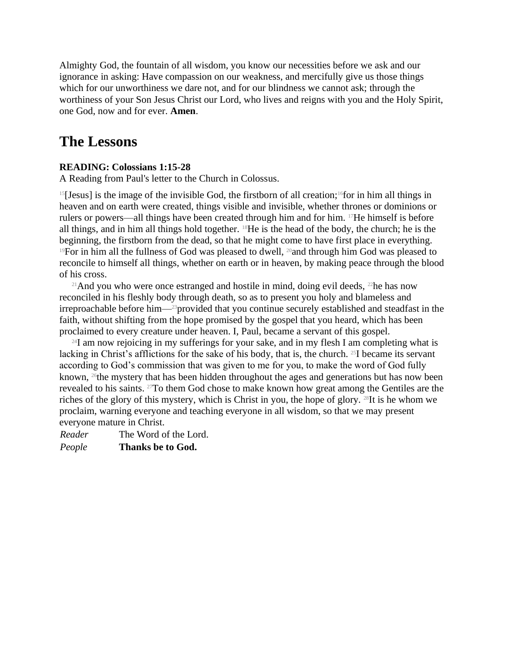Almighty God, the fountain of all wisdom, you know our necessities before we ask and our ignorance in asking: Have compassion on our weakness, and mercifully give us those things which for our unworthiness we dare not, and for our blindness we cannot ask; through the worthiness of your Son Jesus Christ our Lord, who lives and reigns with you and the Holy Spirit, one God, now and for ever. **Amen**.

# **The Lessons**

### **READING: Colossians 1:15-28**

A Reading from Paul's letter to the Church in Colossus.

 $15$ [Jesus] is the image of the invisible God, the firstborn of all creation;<sup>16</sup>for in him all things in heaven and on earth were created, things visible and invisible, whether thrones or dominions or rulers or powers—all things have been created through him and for him. 17He himself is before all things, and in him all things hold together. 18He is the head of the body, the church; he is the beginning, the firstborn from the dead, so that he might come to have first place in everything. <sup>19</sup>For in him all the fullness of God was pleased to dwell, <sup>20</sup>and through him God was pleased to reconcile to himself all things, whether on earth or in heaven, by making peace through the blood of his cross.

<sup>21</sup>And you who were once estranged and hostile in mind, doing evil deeds, <sup>22</sup>he has now reconciled in his fleshly body through death, so as to present you holy and blameless and irreproachable before him—23provided that you continue securely established and steadfast in the faith, without shifting from the hope promised by the gospel that you heard, which has been proclaimed to every creature under heaven. I, Paul, became a servant of this gospel.

 $24I$  am now rejoicing in my sufferings for your sake, and in my flesh I am completing what is lacking in Christ's afflictions for the sake of his body, that is, the church. <sup>25</sup>I became its servant according to God's commission that was given to me for you, to make the word of God fully known, <sup>26</sup>the mystery that has been hidden throughout the ages and generations but has now been revealed to his saints. 27To them God chose to make known how great among the Gentiles are the riches of the glory of this mystery, which is Christ in you, the hope of glory. 28It is he whom we proclaim, warning everyone and teaching everyone in all wisdom, so that we may present everyone mature in Christ.

*Reader* The Word of the Lord. *People* **Thanks be to God.**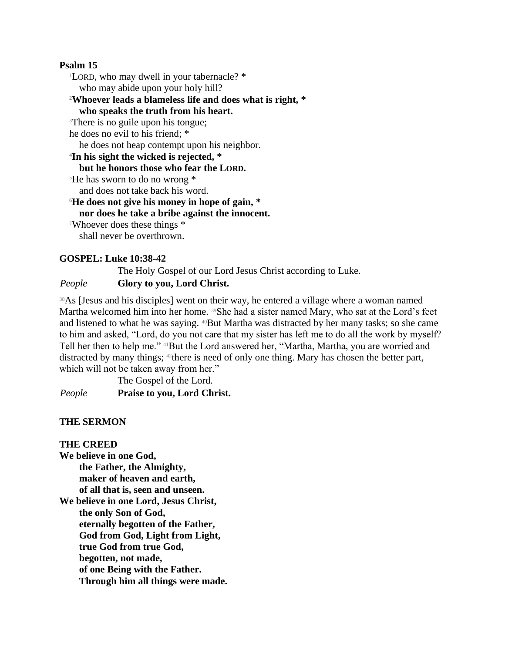#### **Psalm 15**

<sup>1</sup>LORD, who may dwell in your tabernacle? \* who may abide upon your holy hill? **<sup>2</sup>Whoever leads a blameless life and does what is right, \* who speaks the truth from his heart.** <sup>3</sup>There is no guile upon his tongue; he does no evil to his friend; \* he does not heap contempt upon his neighbor. **<sup>4</sup>In his sight the wicked is rejected, \* but he honors those who fear the LORD.** <sup>5</sup>He has sworn to do no wrong \* and does not take back his word. **<sup>6</sup>He does not give his money in hope of gain, \* nor does he take a bribe against the innocent.** <sup>7</sup>Whoever does these things \* shall never be overthrown.

#### **GOSPEL: Luke 10:38-42**

The Holy Gospel of our Lord Jesus Christ according to Luke.

### *People* **Glory to you, Lord Christ.**

<sup>38</sup>As [Jesus and his disciples] went on their way, he entered a village where a woman named Martha welcomed him into her home. <sup>39</sup>She had a sister named Mary, who sat at the Lord's feet and listened to what he was saying. <sup>40</sup>But Martha was distracted by her many tasks; so she came to him and asked, "Lord, do you not care that my sister has left me to do all the work by myself? Tell her then to help me." 41But the Lord answered her, "Martha, Martha, you are worried and distracted by many things; 42there is need of only one thing. Mary has chosen the better part, which will not be taken away from her."

The Gospel of the Lord.

*People* **Praise to you, Lord Christ.**

# **THE SERMON**

#### **THE CREED**

**We believe in one God, the Father, the Almighty, maker of heaven and earth, of all that is, seen and unseen. We believe in one Lord, Jesus Christ, the only Son of God, eternally begotten of the Father, God from God, Light from Light, true God from true God, begotten, not made, of one Being with the Father. Through him all things were made.**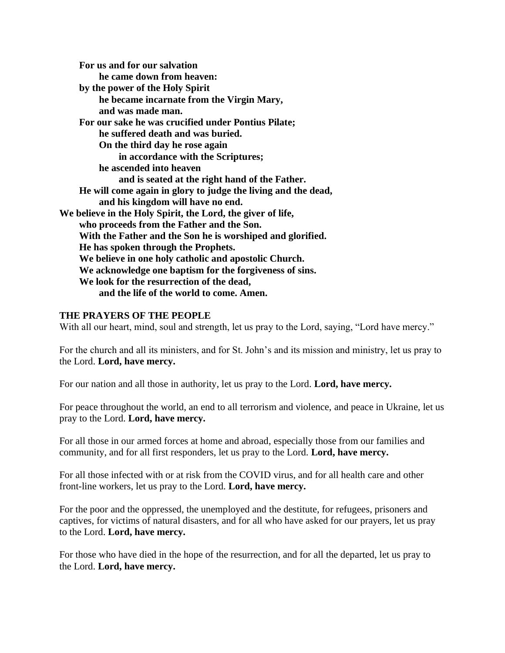**For us and for our salvation he came down from heaven: by the power of the Holy Spirit he became incarnate from the Virgin Mary, and was made man. For our sake he was crucified under Pontius Pilate; he suffered death and was buried. On the third day he rose again in accordance with the Scriptures; he ascended into heaven and is seated at the right hand of the Father. He will come again in glory to judge the living and the dead, and his kingdom will have no end. We believe in the Holy Spirit, the Lord, the giver of life, who proceeds from the Father and the Son. With the Father and the Son he is worshiped and glorified. He has spoken through the Prophets. We believe in one holy catholic and apostolic Church. We acknowledge one baptism for the forgiveness of sins. We look for the resurrection of the dead, and the life of the world to come. Amen.**

#### **THE PRAYERS OF THE PEOPLE**

With all our heart, mind, soul and strength, let us pray to the Lord, saying, "Lord have mercy."

For the church and all its ministers, and for St. John's and its mission and ministry, let us pray to the Lord. **Lord, have mercy.**

For our nation and all those in authority, let us pray to the Lord. **Lord, have mercy.**

For peace throughout the world, an end to all terrorism and violence, and peace in Ukraine, let us pray to the Lord. **Lord, have mercy.**

For all those in our armed forces at home and abroad, especially those from our families and community, and for all first responders, let us pray to the Lord. **Lord, have mercy.**

For all those infected with or at risk from the COVID virus, and for all health care and other front-line workers, let us pray to the Lord. **Lord, have mercy.**

For the poor and the oppressed, the unemployed and the destitute, for refugees, prisoners and captives, for victims of natural disasters, and for all who have asked for our prayers, let us pray to the Lord. **Lord, have mercy.**

For those who have died in the hope of the resurrection, and for all the departed, let us pray to the Lord. **Lord, have mercy.**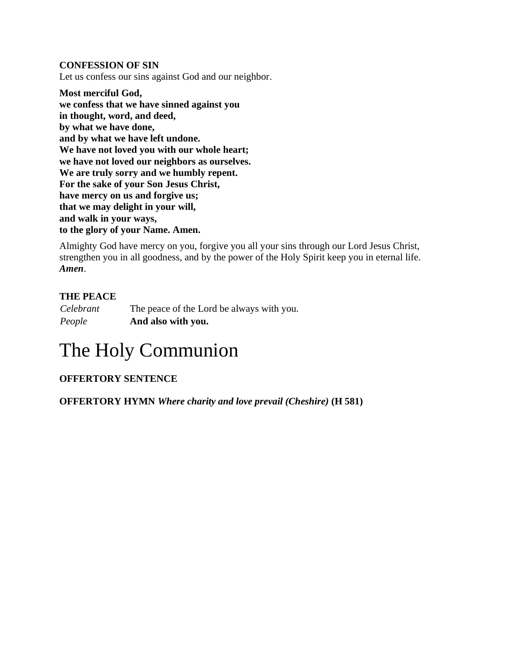#### **CONFESSION OF SIN**

Let us confess our sins against God and our neighbor.

**Most merciful God, we confess that we have sinned against you in thought, word, and deed, by what we have done, and by what we have left undone. We have not loved you with our whole heart; we have not loved our neighbors as ourselves. We are truly sorry and we humbly repent. For the sake of your Son Jesus Christ, have mercy on us and forgive us; that we may delight in your will, and walk in your ways, to the glory of your Name. Amen.**

Almighty God have mercy on you, forgive you all your sins through our Lord Jesus Christ, strengthen you in all goodness, and by the power of the Holy Spirit keep you in eternal life. *Amen*.

### **THE PEACE**

| Celebrant | The peace of the Lord be always with you. |
|-----------|-------------------------------------------|
| People    | And also with you.                        |

# The Holy Communion

# **OFFERTORY SENTENCE**

**OFFERTORY HYMN** *Where charity and love prevail (Cheshire)* **(H 581)**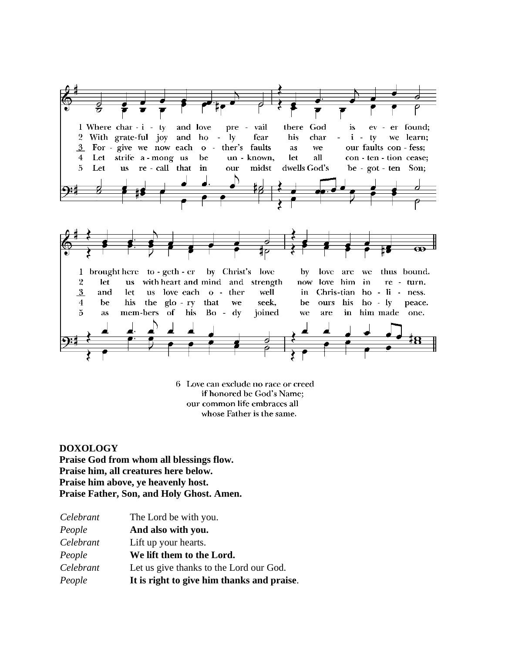

6 Love can exclude no race or creed if honored be God's Name; our common life embraces all whose Father is the same.

#### **DOXOLOGY**

**Praise God from whom all blessings flow. Praise him, all creatures here below. Praise him above, ye heavenly host. Praise Father, Son, and Holy Ghost. Amen.**

| Celebrant | The Lord be with you.                      |
|-----------|--------------------------------------------|
| People    | And also with you.                         |
| Celebrant | Lift up your hearts.                       |
| People    | We lift them to the Lord.                  |
| Celebrant | Let us give thanks to the Lord our God.    |
| People    | It is right to give him thanks and praise. |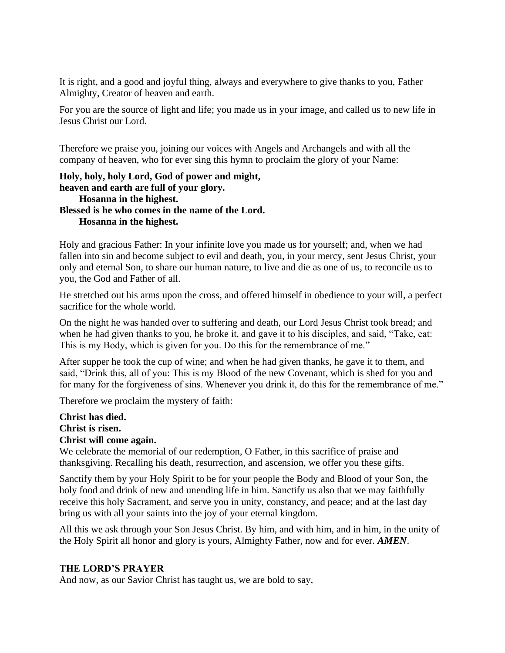It is right, and a good and joyful thing, always and everywhere to give thanks to you, Father Almighty, Creator of heaven and earth.

For you are the source of light and life; you made us in your image, and called us to new life in Jesus Christ our Lord.

Therefore we praise you, joining our voices with Angels and Archangels and with all the company of heaven, who for ever sing this hymn to proclaim the glory of your Name:

```
Holy, holy, holy Lord, God of power and might,
heaven and earth are full of your glory.
    Hosanna in the highest.
Blessed is he who comes in the name of the Lord.
    Hosanna in the highest.
```
Holy and gracious Father: In your infinite love you made us for yourself; and, when we had fallen into sin and become subject to evil and death, you, in your mercy, sent Jesus Christ, your only and eternal Son, to share our human nature, to live and die as one of us, to reconcile us to you, the God and Father of all.

He stretched out his arms upon the cross, and offered himself in obedience to your will, a perfect sacrifice for the whole world.

On the night he was handed over to suffering and death, our Lord Jesus Christ took bread; and when he had given thanks to you, he broke it, and gave it to his disciples, and said, "Take, eat: This is my Body, which is given for you. Do this for the remembrance of me."

After supper he took the cup of wine; and when he had given thanks, he gave it to them, and said, "Drink this, all of you: This is my Blood of the new Covenant, which is shed for you and for many for the forgiveness of sins. Whenever you drink it, do this for the remembrance of me."

Therefore we proclaim the mystery of faith:

# **Christ has died. Christ is risen.**

# **Christ will come again.**

We celebrate the memorial of our redemption, O Father, in this sacrifice of praise and thanksgiving. Recalling his death, resurrection, and ascension, we offer you these gifts.

Sanctify them by your Holy Spirit to be for your people the Body and Blood of your Son, the holy food and drink of new and unending life in him. Sanctify us also that we may faithfully receive this holy Sacrament, and serve you in unity, constancy, and peace; and at the last day bring us with all your saints into the joy of your eternal kingdom.

All this we ask through your Son Jesus Christ. By him, and with him, and in him, in the unity of the Holy Spirit all honor and glory is yours, Almighty Father, now and for ever. *AMEN*.

# **THE LORD'S PRAYER**

And now, as our Savior Christ has taught us, we are bold to say,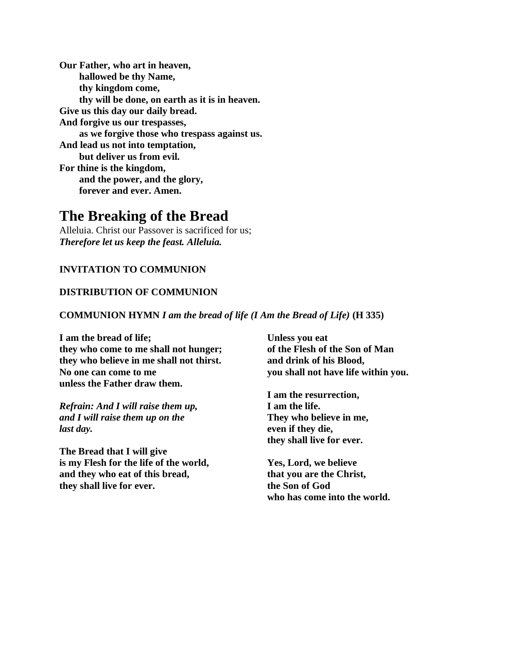**Our Father, who art in heaven, hallowed be thy Name, thy kingdom come, thy will be done, on earth as it is in heaven. Give us this day our daily bread. And forgive us our trespasses, as we forgive those who trespass against us. And lead us not into temptation, but deliver us from evil. For thine is the kingdom, and the power, and the glory, forever and ever. Amen.**

# **The Breaking of the Bread**

Alleluia. Christ our Passover is sacrificed for us; *Therefore let us keep the feast. Alleluia.*

### **INVITATION TO COMMUNION**

#### **DISTRIBUTION OF COMMUNION**

**COMMUNION HYMN** *I am the bread of life (I Am the Bread of Life)* **(H 335)**

**I am the bread of life; they who come to me shall not hunger; they who believe in me shall not thirst. No one can come to me unless the Father draw them.**

*Refrain: And I will raise them up, and I will raise them up on the last day.*

**The Bread that I will give is my Flesh for the life of the world, and they who eat of this bread, they shall live for ever.**

**Unless you eat of the Flesh of the Son of Man and drink of his Blood, you shall not have life within you.**

**I am the resurrection, I am the life. They who believe in me, even if they die, they shall live for ever.**

**Yes, Lord, we believe that you are the Christ, the Son of God who has come into the world.**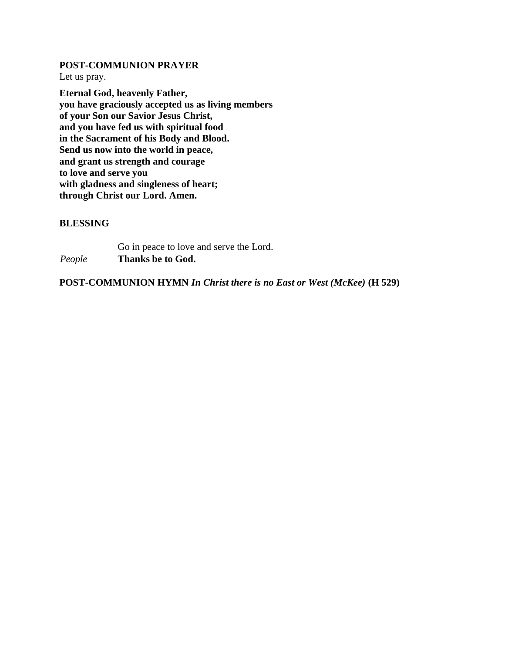# **POST-COMMUNION PRAYER**

Let us pray.

**Eternal God, heavenly Father, you have graciously accepted us as living members of your Son our Savior Jesus Christ, and you have fed us with spiritual food in the Sacrament of his Body and Blood. Send us now into the world in peace, and grant us strength and courage to love and serve you with gladness and singleness of heart; through Christ our Lord. Amen.**

### **BLESSING**

Go in peace to love and serve the Lord. *People* **Thanks be to God.**

**POST-COMMUNION HYMN** *In Christ there is no East or West (McKee)* **(H 529)**